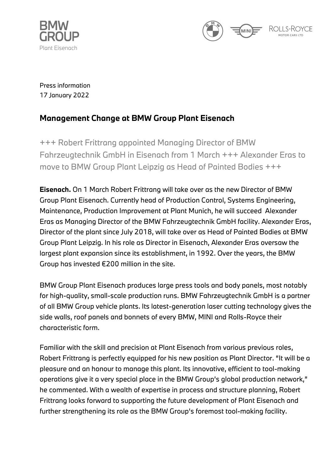



Press information 17 January 2022

## **Management Change at BMW Group Plant Eisenach**

+++ Robert Frittrang appointed Managing Director of BMW Fahrzeugtechnik GmbH in Eisenach from 1 March +++ Alexander Eras to move to BMW Group Plant Leipzig as Head of Painted Bodies +++

**Eisenach.** On 1 March Robert Frittrang will take over as the new Director of BMW Group Plant Eisenach. Currently head of Production Control, Systems Engineering, Maintenance, Production Improvement at Plant Munich, he will succeed Alexander Eras as Managing Director of the BMW Fahrzeugtechnik GmbH facility. Alexander Eras, Director of the plant since July 2018, will take over as Head of Painted Bodies at BMW Group Plant Leipzig. In his role as Director in Eisenach, Alexander Eras oversaw the largest plant expansion since its establishment, in 1992. Over the years, the BMW Group has invested €200 million in the site.

BMW Group Plant Eisenach produces large press tools and body panels, most notably for high-quality, small-scale production runs. BMW Fahrzeugtechnik GmbH is a partner of all BMW Group vehicle plants. Its latest-generation laser cutting technology gives the side walls, roof panels and bonnets of every BMW, MINI and Rolls-Royce their characteristic form.

Familiar with the skill and precision at Plant Eisenach from various previous roles, Robert Frittrang is perfectly equipped for his new position as Plant Director. "It will be a pleasure and an honour to manage this plant. Its innovative, efficient to tool-making operations give it a very special place in the BMW Group's global production network," he commented. With a wealth of expertise in process and structure planning, Robert Frittrang looks forward to supporting the future development of Plant Eisenach and further strengthening its role as the BMW Group's foremost tool-making facility.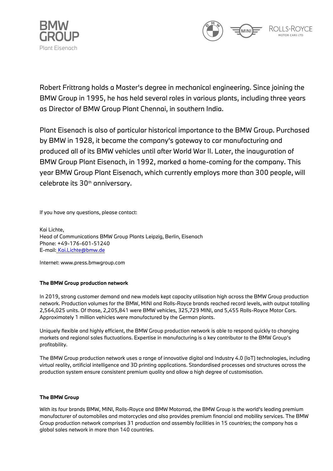



Robert Frittrang holds a Master's degree in mechanical engineering. Since joining the BMW Group in 1995, he has held several roles in various plants, including three years as Director of BMW Group Plant Chennai, in southern India.

Plant Eisenach is also of particular historical importance to the BMW Group. Purchased by BMW in 1928, it became the company's gateway to car manufacturing and produced all of its BMW vehicles until after World War II. Later, the inauguration of BMW Group Plant Eisenach, in 1992, marked a home-coming for the company. This year BMW Group Plant Eisenach, which currently employs more than 300 people, will celebrate its 30th anniversary.

If you have any questions, please contact:

Kai Lichte, Head of Communications BMW Group Plants Leipzig, Berlin, Eisenach Phone: +49-176-601-51240 E-mail: [Kai.Lichte@bmw.de](mailto:Kai.Lichte@bmw.de)

Internet: [www.press.bmwgroup.com](http://www.press.bmwgroup.com/)

## **The BMW Group production network**

In 2019, strong customer demand and new models kept capacity utilisation high across the BMW Group production network. Production volumes for the BMW, MINI and Rolls-Royce brands reached record levels, with output totalling 2,564,025 units. Of those, 2,205,841 were BMW vehicles, 325,729 MINI, and 5,455 Rolls-Royce Motor Cars. Approximately 1 million vehicles were manufactured by the German plants.

Uniquely flexible and highly efficient, the BMW Group production network is able to respond quickly to changing markets and regional sales fluctuations. Expertise in manufacturing is a key contributor to the BMW Group's profitability.

The BMW Group production network uses a range of innovative digital and Industry 4.0 (IoT) technologies, including virtual reality, artificial intelligence and 3D printing applications. Standardised processes and structures across the production system ensure consistent premium quality and allow a high degree of customisation.

## **The BMW Group**

With its four brands BMW, MINI, Rolls-Royce and BMW Motorrad, the BMW Group is the world's leading premium manufacturer of automobiles and motorcycles and also provides premium financial and mobility services. The BMW Group production network comprises 31 production and assembly facilities in 15 countries; the company has a global sales network in more than 140 countries.